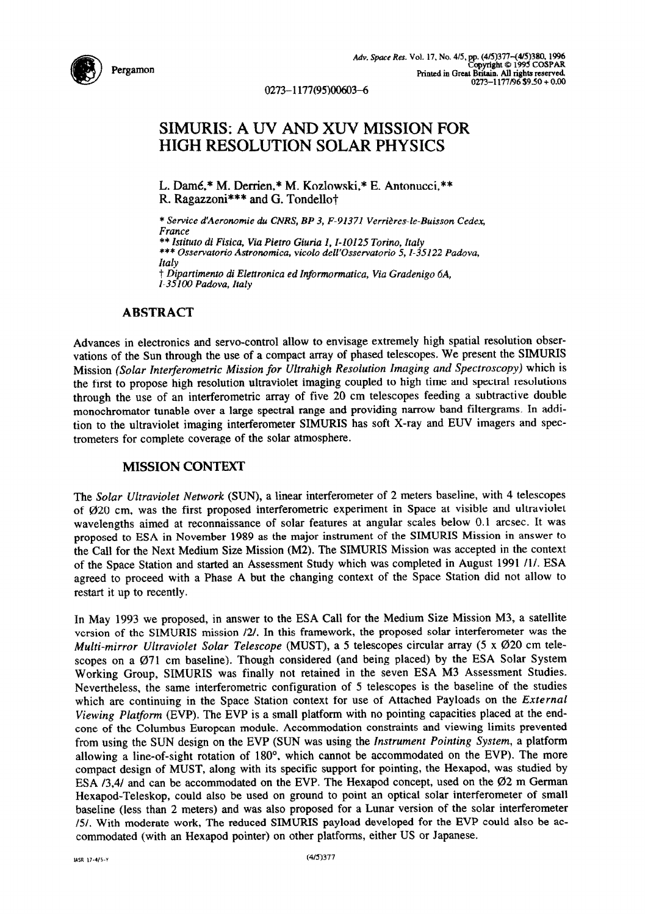

0273-1177(95)00603-6

# SIMURIS: A UV AND XUV MISSION FOR HIGH RESOLUTION SOLAR PHYSICS

L. Damé,\* M. Derrien,\* M. Kozlowski,\* E. Antonucci,\*\* R. Ragazzoni\*\*\* and G. Tondellot

\* *Service d'Aeronomie ah CNRS, BP 3, F-91371 Verrikres-le-Buisson Cedex, France \*\* lstituto di FL&a, Via Pietro Giuria I, I-10125 Torino, Italy \*\*+ Osservatorio Astronomica, vicolo dell'Osservatorio 5, I-35122 Padova, Italy † Dipartimento di Elettronica ed Informormatica, Via Gradenigo 6A, l-35100 Padova, Italy* 

# **ABSTRACT**

Advances in electronics and servo-control allow to envisage extremely high spatial resolution observations of the Sun through the use of a compact array of phased telescopes. We present the SIMURIS Mission (Solar Interferometric Mission for Ultrahigh Resolution Imaging and Spectroscopy) which is the first to propose high resolution ultraviolet imaging coupled to high time and spectral resolutions through the use of an interferometric array of five 20 cm telescopes feeding a subtractive double monochromator tunable over a large spectral range and providing narrow band filtergrams. In addition to the ultraviolet imaging interferometer SIMURIS has soft X-ray and EUV imagers and spectrometers for complete coverage of the solar atmosphere.

# **MISSION CONTEXT**

The Solar *Ultraviolet Network (SUN),* a linear interferometer of 2 meters baseline, with 4 telescopes of 020 cm, was the first proposed interferometric experiment in Space at visible and ultraviolet wavelengths aimed at reconnaissance of solar features at angular scales below 0.1 arcsec. It was proposed to ESA in November 1989 as the major instrument of the SIMURIS Mission in answer to the Call for the Next Medium Size Mission (M2). The SIMURIS Mission was accepted in the context of the Space Station and started an Assessment Study which was completed in August 1991 /1/. ESA agreed to proceed with a Phase A but the changing context of the Space Station did not allow to restart it up to recently.

In May 1993 we proposed, in answer to the ESA Call for the Medium Size Mission M3, a satellite version of the SIMURIS mission 121. In this framework, the proposed solar interferometer was the *Multi-mirror Ultraviolet Solar Telescope* (MUST), a 5 telescopes circular array (5 x 020 cm telescopes on a 071 cm baseline). Though considered (and being placed) by the ESA Solar System Working Group, SIMURIS was finally not retained in the seven ESA M3 Assessment Studies. Nevertheless, the same interferometric configuration of 5 telescopes is the baseline of the studies which are continuing in the Space Station context for use of Attached Payloads on the *External Viewing Platform* (EVP), The EVP is a small platform with no pointing capacities placed at the endcone of the Columbus European module. Accommodation constraints and viewing limits prevented from using the SUN design on the EVP (SUN was using the *Instrument Pointing System,* a platform allowing a line-of-sight rotation of 180°, which cannot be accommodated on the EVP). The more compact design of MUST, along with its specific support for pointing, the Hexapod, was studied by ESA /3,4/ and can be accommodated on the EVP. The Hexapod concept, used on the Ø2 m German Hexapod-Teleskop, could also be used on ground to point an optical solar interferometer of small baseline (less than 2 meters) and was also proposed for a Lunar version of the solar interferometer /5/. With moderate work, The reduced SIMURIS payload developed for the EVP could also be accommodated (with an Hexapod pointer) on other platforms, either US or Japanese.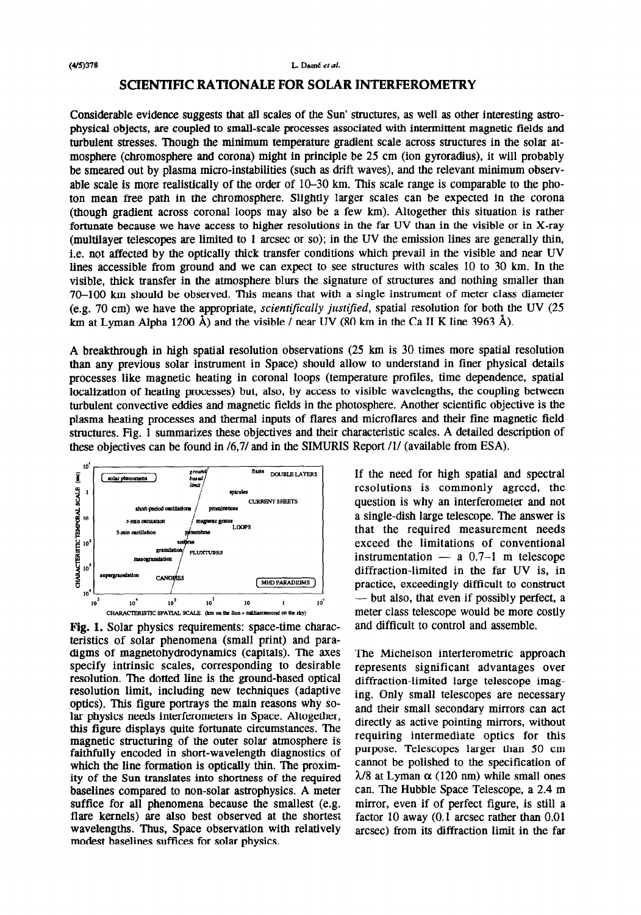### (4L9378 **L. Dam6 et** al.

### **SCIENTIFIC RATIONALE FOR SOLAR INTERFEROMETRY**

Considerable evidence suggests that all scales of the Sun' structures, as well as other interesting astrophysical objects, are coupled to small-scale processes associated with intermittent magnetic fields and turbulent stresses. Though the minimum temperature gradient scale across structures in the solar atmosphere (chromosphere and corona) might in principle be 25 cm (ion gyroradius), it will probably be smeared out by plasma micro-instabilities (such as drift waves), and the relevant minimum observable scale is more realistically of the order of 10-30 km. This scale range is comparable to the photon mean free path in the chromosphere. Slightly larger scales can be expected in the corona (though gradient across coronal loops may also be a few km). Altogether this situation is rather fortunate because we have access to higher resolutions in the far UV than in the visible or in X-ray (multilayer telescopes are limited to 1 arcsec or so); in the UV the emission lines are generally thin, i.e. not affected by the optically thick transfer conditions which prevail in the visible and near UV lines accessible from ground and we can expect to see structures with scales 10 to 30 km. In the visible, thick transfer in the atmosphere blurs the signature of structures and nothing smaller than 70-100 km should be observed. This means that with a single instrument of meter class diameter (e.g. 70 cm) we have the appropriate, scientifically justified, spatial resolution for both the UV (25 km at Lyman Alpha 1200  $\AA$ ) and the visible / near UV (80 km in the Ca II K line 3963  $\AA$ ).

A breakthrough in high spatial resolution observations (25 km is 30 times more spatial resolution than any previous solar instrument in Space) should allow to understand in finer physical details processes like magnetic heating in coronal loops (temperature profiles, time dependence, spatial localization of heating processes) but, also, by access to visible wavelengths, the coupling between turbulent convective eddies and magnetic fields in the photosphere. Another scientific objective is the plasma heating processes and thermal inputs of flares and microflares and their fine magnetic field structures. Fig. 1 summarizes these objectives and their characteristic scales. A detailed description of these objectives can be found in /6,7/ and in the SIMURIS Report /l/ (available from ESA).



Fig. 1. Solar physics requirements: space-time characteristics of solar phenomena (small print) and paradigms of magnetohydrodynamics (capitals). The axes specify intrinsic scales, corresponding to desirable resolution. The dotted line is the ground-based optical resolution limit, including new techniques (adaptive optics). This figure portrays the main reasons why solar physics needs interferometers in Space. Altogether, this figure displays quite fortunate circumstances. The magnetic structuring of the outer solar atmosphere is faithfully encoded in short-wavelength diagnostics of which the line formation is optically thin. The proximity of the Sun translates into shortness of the required baselines compared to non-solar astrophysics. A meter suffice for all phenomena because the smallest (e.g. flare kernels) are also best observed at the shortest wavelengths. Thus, Space observation with relatively modest baselines suffices for solar physics.

If the need for high spatial and spectral resolutions is commonly agreed, the question is why an interferometer and not a single-dish large telescope. The answer is that the required measurement needs exceed the limitations of conventional instrumentation  $- a 0.7-1 m$  telescope diffraction-limited in the far UV is, in practice, exceedingly difficult to construct - but also, that even if possibly perfect, a meter class telescope would be more costly and difficult to control and assemble.

The Michelson interferometric approach represents significant advantages over diffraction-limited large telescope imaging. Only small telescopes are necessary and their small secondary mirrors can act directly as active pointing mirrors, without requiring intermediate optics for this purpose. Telescopes larger than 50 cm cannot be polished to the specification of  $\lambda$ /8 at Lyman  $\alpha$  (120 nm) while small ones can. The Hubble Space Telescope, a 2.4 m mirror, even if of perfect figure, is still a factor 10 away (0.1 arcsec rather than 0.01 arcsec) from its diffraction limit in the far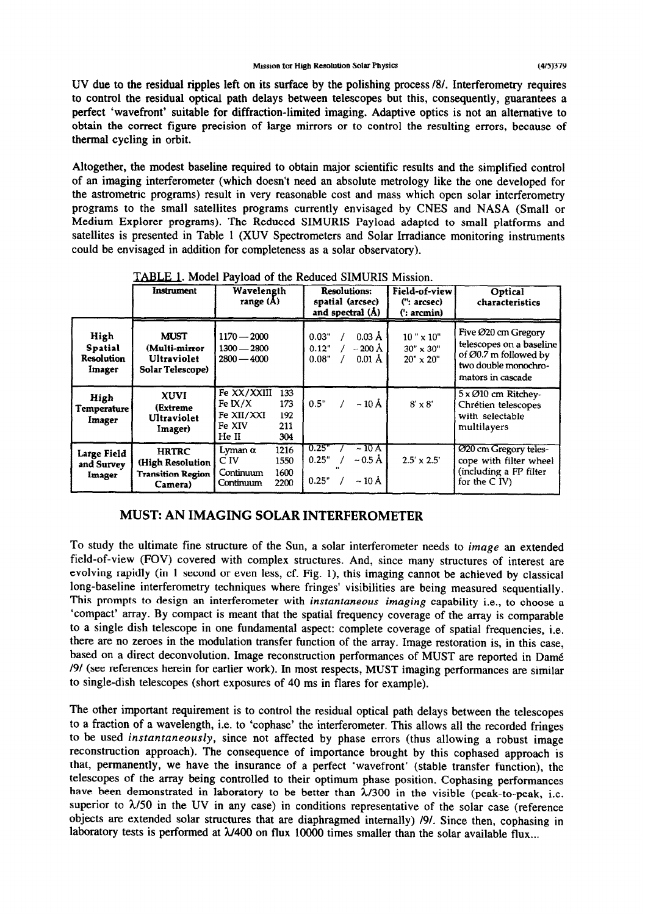UV due to the residual ripples left on its surface by the polishing process /8/. Interferometry requires to control the residual optical path delays between telescopes but this, consequently, guarantees a perfect 'wavefront' suitable for diffraction-limited imaging. Adaptive optics is not an alternative to obtain the correct figure precision of large mirrors or to control the resulting errors, because of thermal cycling in orbit.

Altogether, the modest baseline required to obtain major scientific results and the simplified control of an imaging interferometer (which doesn't need an absolute metrology like the one developed for the astrometric programs) result in very reasonable cost and mass which open solar interferometry programs to the small satellites programs currently envisaged by CNES and NASA (Small or Medium Explorer programs). The Reduced SIMURIS Payload adapted to small platforms and satellites is presented in Table 1 (XUV Spectrometers and Solar Irradiance monitoring instruments could be envisaged in addition for completeness as a solar observatory).

|                                                       | Instrument                                                               | Wavelength<br>range $(A)$                                                                     | <b>Resolutions:</b><br>spatial (arcsec)<br>and spectral $(A)$                 | Field-of-view<br>(": arcsec)<br>(': arcmin)                    | Optical<br>characteristics                                                                                            |
|-------------------------------------------------------|--------------------------------------------------------------------------|-----------------------------------------------------------------------------------------------|-------------------------------------------------------------------------------|----------------------------------------------------------------|-----------------------------------------------------------------------------------------------------------------------|
| High<br><b>Spatial</b><br><b>Resolution</b><br>Imager | <b>MUST</b><br>(Multi-mirror<br>Ultraviolet<br>Solar Telescope)          | $1170 - 2000$<br>$1300 - 2800$<br>$2800 - 4000$                                               | $0.03$ Å<br>0.03"<br>$\sim$ 200 Å<br>0.12"<br>0.08"<br>$0.01 \text{ Å}$       | $10'' \times 10''$<br>$30'' \times 30''$<br>$20'' \times 20''$ | Five Ø20 cm Gregory<br>telescopes on a baseline<br>of Ø0.7 m followed by<br>two double monochro-<br>mators in cascade |
| High<br>Temperature<br>Imager                         | <b>XUVI</b><br>(Extreme<br><b>Ultraviolet</b><br>Imager)                 | Fe XX/XXIII<br>133<br>173<br>Fe IX/ $X$<br>Fe XII/XXI<br>192<br>Fe XIV<br>211<br>He II<br>304 | 0.5"<br>$\sim$ 10 Å                                                           | $8' \times 8'$                                                 | $5 \times 210$ cm Ritchey-<br>Chrétien telescopes<br>with selectable<br>multilayers                                   |
| Large Field<br>and Survey<br>Imager                   | <b>HRTRC</b><br>(High Resolution)<br><b>Transition Region</b><br>Camera) | 1216<br>Lyman $\alpha$<br>C IV<br>1550<br>1600<br>Continuum<br>Continuum<br>2200              | 0.25"<br>$\sim 10 \text{ A}$<br>0.25"<br>$\sim$ 0.5 Å<br>0.25"<br>$\sim$ 10 Å | $2.5' \times 2.5'$                                             | 020 cm Gregory teles-<br>cope with filter wheel<br>(including a FP filter<br>for the $C IV$                           |

TABLE 1. Model Payload of the Reduced SIMURIS Mission

# MUST: AN IMAGING SOLAR INTERFEROMETER

To study the ultimate fine structure of the Sun, a solar interferometer needs to image an extended field-of-view (FOV) covered with complex structures. And, since many structures of interest are evolving rapidly (in 1 second or even less, cf. Fig. 1), this imaging cannot be achieved by classical long-baseline interferometry techniques where fringes' visibilities are being measured sequentially. This prompts to design an interferometer with *instantaneous imaging* capability i.e., to choose a 'compact' array. By compact is meant that the spatial frequency coverage of the array is comparable to a single dish telescope in one fundamental aspect: complete coverage of spatial frequencies, i.e. there are no zeroes in the modulation transfer function of the array. Image restoration is, in this case, based on a direct deconvolution. Image reconstruction performances of MUST are reported in Damé /9/ (see references herein for earlier work). In most respects, MUST imaging performances are similar to single-dish telescopes (short exposures of 40 ms in flares for example).

The other important requirement is to control the residual optical path delays between the telescopes to a fraction of a wavelength, i.e. to 'cophase' the interferometer. This allows all the recorded fringes to be used *instantaneously*, since not affected by phase errors (thus allowing a robust image reconstruction approach). The consequence of importance brought by this cophased approach is that, permanently, we have the insurance of a perfect 'wavefront' (stable transfer function), the telescopes of the array being controlled to their optimum phase position. Cophasing performances have been demonstrated in laboratory to be better than  $\lambda/300$  in the visible (peak-to-peak, i.e. superior to  $\lambda$ /50 in the UV in any case) in conditions representative of the solar case (reference objects are extended solar structures that are diaphragmed internally) /9/. Since then, cophasing in laboratory tests is performed at  $\lambda$ /400 on flux 10000 times smaller than the solar available flux...